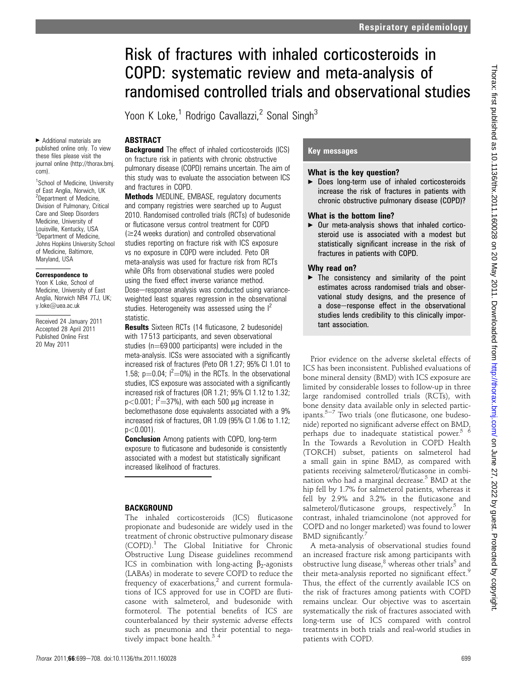### Risk of fractures with inhaled corticosteroids in COPD: systematic review and meta-analysis of randomised controlled trials and observational studies

Yoon K Loke,<sup>1</sup> Rodrigo Cavallazzi,<sup>2</sup> Sonal Singh<sup>3</sup>

#### **ABSTRACT**

< Additional materials are published online only. To view these files please visit the journal online (http://thorax.bmj. com).

<sup>1</sup>School of Medicine, University of East Anglia, Norwich, UK 2 Department of Medicine, Division of Pulmonary, Critical Care and Sleep Disorders Medicine, University of Louisville, Kentucky, USA <sup>3</sup>Department of Medicine, Johns Hopkins University School of Medicine, Baltimore, Maryland, USA

#### Correspondence to

Yoon K Loke, School of Medicine, University of East Anglia, Norwich NR4 7TJ, UK; y.loke@uea.ac.uk

Received 24 January 2011 Accepted 28 April 2011 Published Online First 20 May 2011

**Background** The effect of inhaled corticosteroids (ICS) on fracture risk in patients with chronic obstructive pulmonary disease (COPD) remains uncertain. The aim of this study was to evaluate the association between ICS and fractures in COPD.

Methods MEDLINE, EMBASE, regulatory documents and company registries were searched up to August 2010. Randomised controlled trials (RCTs) of budesonide or fluticasone versus control treatment for COPD  $\approx$  24 weeks duration) and controlled observational studies reporting on fracture risk with ICS exposure vs no exposure in COPD were included. Peto OR meta-analysis was used for fracture risk from RCTs while ORs from observational studies were pooled using the fixed effect inverse variance method. Dose-response analysis was conducted using varianceweighted least squares regression in the observational studies. Heterogeneity was assessed using the  $I^2$ statistic.

Results Sixteen RCTs (14 fluticasone, 2 budesonide) with 17 513 participants, and seven observational studies ( $n=69000$  participants) were included in the meta-analysis. ICSs were associated with a significantly increased risk of fractures (Peto OR 1.27; 95% CI 1.01 to 1.58; p=0.04;  $I^2$ =0%) in the RCTs. In the observational studies, ICS exposure was associated with a significantly increased risk of fractures (OR 1.21; 95% CI 1.12 to 1.32;  $p < 0.001$ ;  $1^2 = 37$ %), with each 500  $\mu$ g increase in beclomethasone dose equivalents associated with a 9% increased risk of fractures, OR 1.09 (95% CI 1.06 to 1.12;  $p<0.001$ ).

**Conclusion** Among patients with COPD, long-term exposure to fluticasone and budesonide is consistently associated with a modest but statistically significant increased likelihood of fractures.

#### **BACKGROUND**

The inhaled corticosteroids (ICS) fluticasone propionate and budesonide are widely used in the treatment of chronic obstructive pulmonary disease (COPD).<sup>1</sup> The Global Initiative for Chronic Obstructive Lung Disease guidelines recommend ICS in combination with long-acting  $\beta_2$ -agonists (LABAs) in moderate to severe COPD to reduce the frequency of exacerbations, $2$  and current formulations of ICS approved for use in COPD are fluticasone with salmeterol, and budesonide with formoterol. The potential benefits of ICS are counterbalanced by their systemic adverse effects such as pneumonia and their potential to negatively impact bone health.<sup>34</sup>

#### Key messages

#### What is the key question?

Does long-term use of inhaled corticosteroids increase the risk of fractures in patients with chronic obstructive pulmonary disease (COPD)?

#### What is the bottom line?

 $\triangleright$  Our meta-analysis shows that inhaled corticosteroid use is associated with a modest but statistically significant increase in the risk of fractures in patients with COPD.

#### Why read on?

 $\blacktriangleright$  The consistency and similarity of the point estimates across randomised trials and observational study designs, and the presence of a dose-response effect in the observational studies lends credibility to this clinically important association.

Prior evidence on the adverse skeletal effects of ICS has been inconsistent. Published evaluations of bone mineral density (BMD) with ICS exposure are limited by considerable losses to follow-up in three large randomised controlled trials (RCTs), with bone density data available only in selected participants. $5-7$  Two trials (one fluticasone, one budesonide) reported no significant adverse effect on BMD, perhaps due to inadequate statistical power. $5$ In the Towards a Revolution in COPD Health (TORCH) subset, patients on salmeterol had a small gain in spine BMD, as compared with patients receiving salmeterol/fluticasone in combination who had a marginal decrease.<sup>5</sup> BMD at the hip fell by 1.7% for salmeterol patients, whereas it fell by 2.9% and 3.2% in the fluticasone and salmeterol/fluticasone groups, respectively.<sup>5</sup> In contrast, inhaled triamcinolone (not approved for COPD and no longer marketed) was found to lower BMD significantly.<sup>7</sup>

A meta-analysis of observational studies found an increased fracture risk among participants with obstructive lung disease, $8$  whereas other trials<sup>5</sup> and their meta-analysis reported no significant effect.<sup>9</sup> Thus, the effect of the currently available ICS on the risk of fractures among patients with COPD remains unclear. Our objective was to ascertain systematically the risk of fractures associated with long-term use of ICS compared with control treatments in both trials and real-world studies in patients with COPD.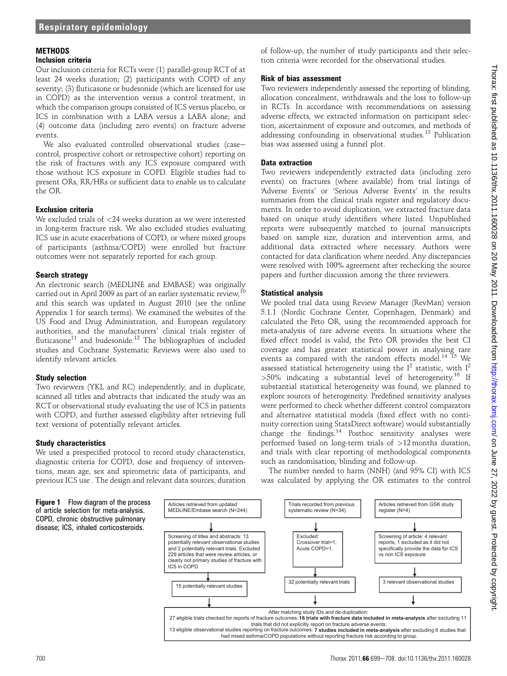#### **MFTHODS**

#### Inclusion criteria

Our inclusion criteria for RCTs were (1) parallel-group RCT of at least 24 weeks duration; (2) participants with COPD of any severity; (3) fluticasone or budesonide (which are licensed for use in COPD) as the intervention versus a control treatment, in which the comparison groups consisted of ICS versus placebo, or ICS in combination with a LABA versus a LABA alone; and (4) outcome data (including zero events) on fracture adverse events.

We also evaluated controlled observational studies (casecontrol, prospective cohort or retrospective cohort) reporting on the risk of fractures with any ICS exposure compared with those without ICS exposure in COPD. Eligible studies had to present ORs, RR/HRs or sufficient data to enable us to calculate the OR.

#### Exclusion criteria

We excluded trials of <24 weeks duration as we were interested in long-term fracture risk. We also excluded studies evaluating ICS use in acute exacerbations of COPD, or where mixed groups of participants (asthma/COPD) were enrolled but fracture outcomes were not separately reported for each group.

#### Search strategy

An electronic search (MEDLINE and EMBASE) was originally carried out in April 2009 as part of an earlier systematic review,  $10$ and this search was updated in August 2010 (see the online Appendix 1 for search terms). We examined the websites of the US Food and Drug Administration, and European regulatory authorities, and the manufacturers' clinical trials register of fluticasone<sup>11</sup> and budesonide.<sup>12</sup> The bibliographies of included studies and Cochrane Systematic Reviews were also used to identify relevant articles.

#### Study selection

Two reviewers (YKL and RC) independently, and in duplicate, scanned all titles and abstracts that indicated the study was an RCT or observational study evaluating the use of ICS in patients with COPD, and further assessed eligibility after retrieving full text versions of potentially relevant articles.

#### Study characteristics

We used a prespecified protocol to record study characteristics, diagnostic criteria for COPD, dose and frequency of interventions, mean age, sex and spirometric data of participants, and previous ICS use . The design and relevant data sources, duration of follow-up, the number of study participants and their selection criteria were recorded for the observational studies.

#### Risk of bias assessment

Two reviewers independently assessed the reporting of blinding, allocation concealment, withdrawals and the loss to follow-up in RCTs. In accordance with recommendations on assessing adverse effects, we extracted information on participant selection, ascertainment of exposure and outcomes, and methods of addressing confounding in observational studies.<sup>13</sup> Publication bias was assessed using a funnel plot.

#### Data extraction

Two reviewers independently extracted data (including zero events) on fractures (where available) from trial listings of 'Adverse Events' or 'Serious Adverse Events' in the results summaries from the clinical trials register and regulatory documents. In order to avoid duplication, we extracted fracture data based on unique study identifiers where listed. Unpublished reports were subsequently matched to journal manuscripts based on sample size, duration and intervention arms, and additional data extracted where necessary. Authors were contacted for data clarification where needed. Any discrepancies were resolved with 100% agreement after rechecking the source papers and further discussion among the three reviewers.

#### Statistical analysis

We pooled trial data using Review Manager (RevMan) version 5.1.1 (Nordic Cochrane Center, Copenhagen, Denmark) and calculated the Peto OR, using the recommended approach for meta-analysis of rare adverse events. In situations where the fixed effect model is valid, the Peto OR provides the best CI coverage and has greater statistical power in analysing rare events as compared with the random effects model.<sup>14 15</sup> We assessed statistical heterogeneity using the  $I^2$  statistic, with  $I^2$  $>50\%$  indicating a substantial level of heterogeneity.<sup>16</sup> If substantial statistical heterogeneity was found, we planned to explore sources of heterogeneity. Predefined sensitivity analyses were performed to check whether different control comparators and alternative statistical models (fixed effect with no continuity correction using StatsDirect software) would substantially change the findings.<sup>14</sup> Posthoc sensitivity analyses were performed based on long-term trials of >12 months duration, and trials with clear reporting of methodological components such as randomisation, blinding and follow-up.

The number needed to harm (NNH) (and 95% CI) with ICS was calculated by applying the OR estimates to the control





700 Thorax 2011;**66**:699-708. doi:10.1136/thx.2011.160028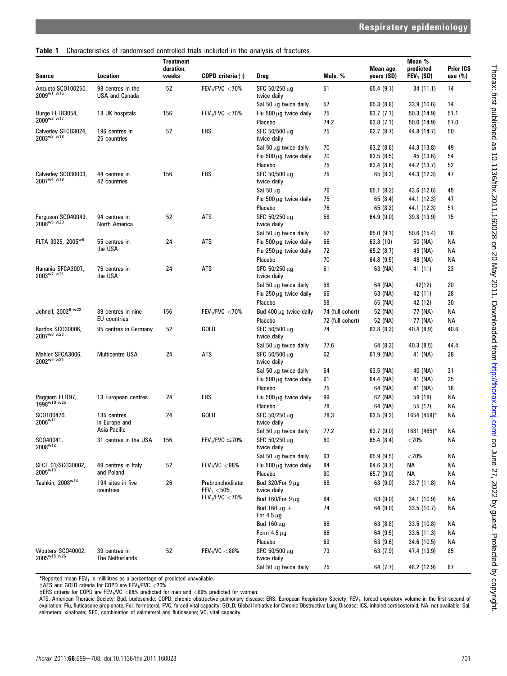Table 1 Characteristics of randomised controlled trials included in the analysis of fractures

| Source                                                    | <b>Location</b>                            | <b>Treatment</b><br>duration,<br>weeks | COPD criteria $\pm$                   |                                        | Male, %          | Mean age,<br>years (SD) | Mean %<br>predicted | <b>Prior ICS</b> |
|-----------------------------------------------------------|--------------------------------------------|----------------------------------------|---------------------------------------|----------------------------------------|------------------|-------------------------|---------------------|------------------|
|                                                           |                                            |                                        |                                       | Drug                                   |                  |                         | $FEV_1(SD)$         | use $(\%)$       |
| Anzueto SCO100250,<br>$2009^{w1 \text{ w16}}$             | 98 centres in the<br><b>USA and Canada</b> | 52                                     | FEV <sub>1</sub> /FVC < 70%           | SFC 50/250 µg<br>twice daily           | 51               | 65.4(9.1)               | 34 (11.1)           | 14               |
|                                                           |                                            |                                        |                                       | Sal 50 $\mu$ g twice daily             | 57               | 65.3 (8.8)              | 33.9 (10.6)         | 14               |
| Burge FLTB3054,                                           | 18 UK hospitals                            | 156                                    | FEV <sub>1</sub> /FVC < 70%           | Flu 500 µg twice daily                 | 75               | 63.7(7.1)               | 50.3 (14.9)         | 51.1             |
| 2000 <sup>w2</sup> w17                                    |                                            |                                        |                                       | Placebo                                | 74.2             | 63.8(7.1)               | 50.0(14.9)          | 57.0             |
| Calverley SFCB3024,<br>2003 <sup>w3</sup> w <sub>18</sub> | 196 centres in<br>25 countries             | 52                                     | ERS                                   | SFC 50/500 µg<br>twice daily           | 75               | 62.7(8.7)               | 44.8 (14.7)         | 50               |
|                                                           |                                            |                                        |                                       | Sal 50 $\mu$ g twice daily             | 70               | 63.2(8.6)               | 44.3 (13.8)         | 49               |
|                                                           |                                            |                                        |                                       | Flu 500 $\mu$ g twice daily            | 70               | 63.5(8.5)               | 45 (13.6)           | 54               |
|                                                           |                                            |                                        |                                       | Placebo                                | 75               | 63.4(8.6)               | 44.2 (13.7)         | 52               |
| Calverley SC030003,<br>2007 <sup>w4</sup> w <sub>19</sub> | 44 centres in<br>42 countries              | 156                                    | ERS                                   | SFC 50/500 µg<br>twice daily           | 75               | 65 (8.3)                | 44.3 (12.3)         | 47               |
|                                                           |                                            |                                        |                                       | Sal 50 $\mu$ g                         | 76               | 65.1 (8.2)              | 43.6 (12.6)         | 45               |
|                                                           |                                            |                                        |                                       | Flu 500 µg twice daily                 | 75               | 65 (8.4)                | 44.1 (12.3)         | 47               |
|                                                           |                                            |                                        |                                       | Placebo                                | 76               | 65 (8.2)                | 44.1 (12.3)         | 51               |
| Ferguson SCO40043,<br>2008 <sup>w5</sup> w20              | 94 centres in<br>North America             | 52                                     | ATS                                   | SFC 50/250 µg<br>twice daily           | 58               | 64.9 (9.0)              | 39.8 (13.9)         | 15               |
|                                                           |                                            |                                        |                                       | Sal 50 $\mu$ g twice daily             | 52               | 65.0 (9.1)              | 50.6 (15.4)         | 18               |
| FLTA 3025, 2005 <sup>W6</sup>                             | 55 centres in                              | 24                                     | ATS                                   | Flu 500 $\mu$ g twice daily            | 66               | 63.3 (10)               | 50 (NA)             | NА               |
|                                                           | the USA                                    |                                        |                                       | Flu $250 \mu$ g twice daily            | 72               | 65.2(8.7)               | 49 (NA)             | NА               |
|                                                           |                                            |                                        |                                       | Placebo                                | 70               | 64.8 (9.5)              | 48 (NA)             | NА               |
| Hanania SFCA3007,<br>2003 <sup>w7</sup> w21               | 76 centres in<br>the USA                   | 24                                     | ATS                                   | SFC 50/250 µg<br>twice daily           | 61               | 63 (NA)                 | 41 (11)             | 23               |
|                                                           |                                            |                                        |                                       | Sal 50 $\mu$ g twice daily             | 58               | 64 (NA)                 | 42(12)              | 20               |
|                                                           |                                            |                                        |                                       | Flu 250 µg twice daily                 | 66               | 63 (NA)                 | 42 (11)             | 28               |
|                                                           |                                            |                                        |                                       | Placebo                                | 58               | 65 (NA)                 | 42 (12)             | 30               |
| Johnell, 2002 <sup>6 w22</sup>                            | 39 centres in nine                         | 156                                    | FEV <sub>1</sub> /FVC < 70%           | Bud 400 µg twice daily                 | 74 (full cohort) | 52 (NA)                 | 77 (NA)             | ΝA               |
|                                                           | <b>EU</b> countries                        |                                        |                                       | Placebo                                | 72 (full cohort) | 52 (NA)                 | 77 (NA)             | NА               |
| Kardos SCO30006,<br>2007 <sup>w8</sup> w <sub>23</sub>    | 95 centres in Germany                      | 52                                     | GOLD                                  | SFC 50/500 µg<br>twice daily           | 74               | 63.8 (8.3)              | 40.4 (8.9)          | 40.6             |
|                                                           |                                            |                                        |                                       | Sal 50 $\mu$ g twice daily             | 77.6             | 64 (8.2)                | 40.3(8.5)           | 44.4             |
| Mahler SFCA3006,<br>2002 <sup>w9</sup> w <sub>24</sub>    | Multicentre USA                            | 24                                     | ATS                                   | SFC 50/500 µg<br>twice daily           | 62               | 61.9 (NA)               | 41 (NA)             | 28               |
|                                                           |                                            |                                        |                                       | Sal 50 $\mu$ g twice daily             | 64               | 63.5 (NA)               | 40 (NA)             | 31               |
|                                                           |                                            |                                        |                                       | Flu 500 μg twice daily                 | 61               | 64.4 (NA)               | 41 (NA)             | 25               |
|                                                           |                                            |                                        |                                       | Placebo                                | 75               | 64 (NA)                 | 41 (NA)             | 18               |
| Paggiaro FLIT97,<br>1998 <sup>w10</sup> w <sub>25</sub>   | 13 European centres                        | 24                                     | ERS                                   | Flu 500 μg twice daily                 | 99               | 62 (NA)                 | 59 (18)             | NА               |
|                                                           |                                            |                                        |                                       | Placebo                                | 78               | 64 (NA)                 | 55 (17)             | NА               |
| SC0100470,<br>2006 <sup>w11</sup>                         | 135 centres<br>in Europe and               | 24                                     | GOLD                                  | SFC 50/250 µg<br>twice daily           | 78.3             | 63.5 (9.3)              | 1654 (459)*         | NА               |
|                                                           | Asia-Pacific                               |                                        |                                       | Sal 50 $\mu$ g twice daily             | 77.2             | 63.7 (9.0)              | 1681 (465)*         | NА               |
| SC040041,<br>$2008^{\text{w12}}$                          | 31 centres in the USA                      | 156                                    | $\text{FEV}_1/\text{FVC} \leq 70\%$   | SFC 50/250 µg<br>twice daily           | 60               | 65.4 (8.4)              | $<\!\!10\!\%$       | <b>NA</b>        |
|                                                           |                                            |                                        |                                       | Sal 50 μg twice daily                  | 63               | 65.9(9.5)               | ${<}70%$            | NА               |
| SFCT 01/SC030002,<br>$2005^{w13}$                         | 49 centres in Italy<br>and Poland          | 52                                     | FEV <sub>1</sub> /VC < 88%            | Flu 500 μg twice daily                 | 84               | 64.6 (8.7)              | <b>NA</b>           | NА               |
|                                                           |                                            |                                        |                                       | Placebo                                | 80               | 65.7 (9.0)              | ΝA                  | NА               |
| Tashkin, 2008 <sup>w14</sup>                              | 194 sites in five<br>countries             | 26                                     | Prebronchodilator<br>$FEV_1 < 50\%$ , | <b>Bud 320/For 9 µg</b><br>twice daily | 68               | 63 (9.0)                | 33.7 (11.8)         | NА               |
|                                                           |                                            |                                        | FEV <sub>1</sub> /FVC < 70%           | Bud 160/For $9 \mu$ g                  | 64               | 63 (9.0)                | 34.1 (10.9)         | NА               |
|                                                           |                                            |                                        |                                       | Bud 160 $\mu$ g +<br>For $4.5 \mu g$   | 74               | 64 (9.0)                | 33.5(10.7)          | NА               |
|                                                           |                                            |                                        |                                       | <b>Bud 160 µg</b>                      | 68               | 63 (8.8)                | 33.5(10.8)          | NА               |
|                                                           |                                            |                                        |                                       | Form $4.5 \mu g$                       | 66               | 64 (9.5)                | 33.6(11.3)          | NА               |
|                                                           |                                            |                                        |                                       | Placebo                                | 69               | 63 (9.6)                | 34.6 (10.5)         | NА               |
| Wouters SC040002,<br>2005 <sup>w15</sup> w <sub>26</sub>  | 39 centres in<br>The Netherlands           | 52                                     | FEV <sub>1</sub> /VC < 88%            | SFC 50/500 µg<br>twice daily           | 73               | 63 (7.9)                | 47.4 (13.9)         | 85               |
|                                                           |                                            |                                        |                                       | Sal $50 \mu g$ twice daily             | 75               | 64 (7.7)                | 48.2 (12.9)         | 87               |

\*Reported mean FEV1 in millilitres as a percentage of predicted unavailable. yATS and GOLD criteria for COPD are FEV1/FVC <70%.

zERS criteria for COPD are FEV1/VC <88% predicted for men and <89% predicted for women.

ATS, American Thoracic Society; Bud, budesonide; COPD, chronic obstructive pulmonary disease; ERS, European Respiratory Society; FEV<sub>1</sub>, forced expiratory volume in the first second ot<br>expiration; Flu, fluticasone propiona salmeterol xinafoate; SFC, combination of salmeterol and fluticasone; VC, vital capacity.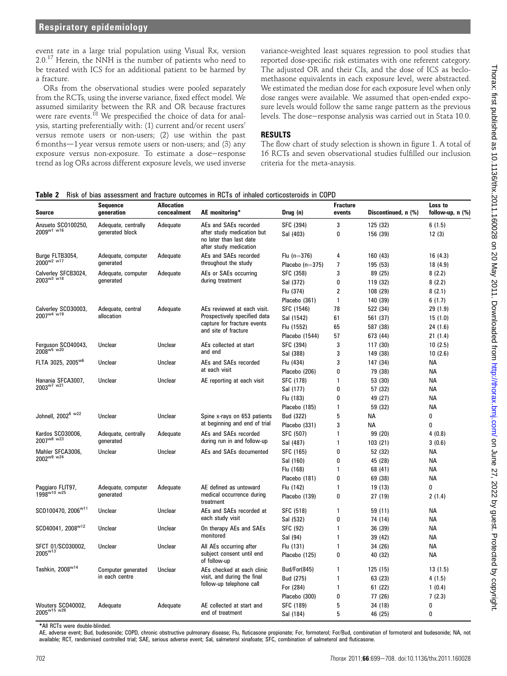event rate in a large trial population using Visual Rx, version  $2.0$ .<sup>17</sup> Herein, the NNH is the number of patients who need to be treated with ICS for an additional patient to be harmed by a fracture.

ORs from the observational studies were pooled separately from the RCTs, using the inverse variance, fixed effect model. We assumed similarity between the RR and OR because fractures were rare events.<sup>18</sup> We prespecified the choice of data for analysis, starting preferentially with: (1) current and/or recent users' versus remote users or non-users; (2) use within the past  $6$  months—1 year versus remote users or non-users; and  $(3)$  any exposure versus non-exposure. To estimate a dose-response trend as log ORs across different exposure levels, we used inverse

variance-weighted least squares regression to pool studies that reported dose-specific risk estimates with one referent category. The adjusted OR and their CIs, and the dose of ICS as beclomethasone equivalents in each exposure level, were abstracted. We estimated the median dose for each exposure level when only dose ranges were available. We assumed that open-ended exposure levels would follow the same range pattern as the previous levels. The dose-response analysis was carried out in Stata 10.0.

#### RESULTS

The flow chart of study selection is shown in figure 1. A total of 16 RCTs and seven observational studies fulfilled our inclusion criteria for the meta-anaysis.

#### Table 2 Risk of bias assessment and fracture outcomes in RCTs of inhaled corticosteroids in COPD

| <b>Source</b>                                            | Sequence<br>qeneration                 | <b>Allocation</b><br>concealment | AE monitoring*                                                                                                     | Drug (n)                                                | <b>Fracture</b><br>events         | Discontinued, n (%)                          | Loss to<br>follow-up, $n$ (%)             |
|----------------------------------------------------------|----------------------------------------|----------------------------------|--------------------------------------------------------------------------------------------------------------------|---------------------------------------------------------|-----------------------------------|----------------------------------------------|-------------------------------------------|
| Anzueto SCO100250,<br>2009 <sup>w1 w16</sup>             | Adequate, centrally<br>generated block | Adequate                         | AEs and SAEs recorded<br>after study medication but<br>no later than last date<br>after study medication           | SFC (394)<br>Sal (403)                                  | 3<br>0                            | 125 (32)<br>156 (39)                         | 6(1.5)<br>12(3)                           |
| Burge FLTB3054,<br>2000 <sup>w2</sup> w17                | Adequate, computer<br>generated        | Adequate                         | AEs and SAEs recorded<br>throughout the study                                                                      | Flu $(n=376)$<br>Placebo $(n=375)$                      | 4<br>$\overline{7}$               | 160 (43)<br>195 (53)                         | 16 (4.3)<br>18 (4.9)                      |
| Calverley SFCB3024,<br>$2003^{w3}$ w <sub>18</sub>       | Adequate, computer<br>qenerated        | Adequate                         | AEs or SAEs occurring<br>during treatment                                                                          | SFC (358)<br>Sal (372)<br>Flu (374)                     | 3<br>0<br>$\overline{\mathbf{2}}$ | 89 (25)<br>119 (32)<br>108 (29)              | 8(2.2)<br>8(2.2)<br>8(2.1)                |
| Calverley SC030003,<br>2007 <sup>w4</sup> w19            | Adequate, central<br>allocation        | Adequate                         | AEs reviewed at each visit.<br>Prospectively specified data<br>capture for fracture events<br>and site of fracture | Placebo (361)<br>SFC (1546)<br>Sal (1542)<br>Flu (1552) | $\mathbf{1}$<br>78<br>61<br>65    | 140 (39)<br>522 (34)<br>561 (37)<br>587 (38) | 6(1.7)<br>29 (1.9)<br>15(1.0)<br>24 (1.6) |
| Ferguson SC040043,<br>2008 <sup>w5</sup> w20             | Unclear                                | Unclear                          | AEs collected at start<br>and end                                                                                  | Placebo (1544)<br>SFC (394)<br>Sal (388)                | 57<br>3<br>3                      | 673 (44)<br>117 (30)<br>149 (38)             | 21(1.4)<br>10(2.5)<br>10(2.6)             |
| FLTA 3025, 2005 <sup>w6</sup>                            | Unclear                                | Unclear                          | AEs and SAEs recorded<br>at each visit                                                                             | Flu (434)<br>Placebo (206)                              | 3<br>0<br>$\mathbf{1}$            | 147 (34)<br>79 (38)                          | ΝA<br>ΝA                                  |
| Hanania SFCA3007,<br>2003 <sup>w7</sup> w21              | Unclear                                | Unclear                          | AE reporting at each visit                                                                                         | SFC (178)<br>Sal (177)<br>Flu (183)<br>Placebo (185)    | 0<br>0<br>1                       | 53 (30)<br>57 (32)<br>49 (27)<br>59 (32)     | <b>NA</b><br><b>NA</b><br>ΝA<br>ΝA        |
| Johnell, $2002^6$ w22                                    | Unclear                                | Unclear                          | Spine x-rays on 653 patients<br>at beginning and end of trial                                                      | Bud (322)<br>Placebo (331)                              | 5<br>3                            | ΝA<br>ΝA                                     | 0<br>0                                    |
| Kardos SCO30006,<br>2007 <sup>w8</sup> w <sub>23</sub>   | Adequate, centrally<br>generated       | Adequate                         | AEs and SAEs recorded<br>during run in and follow-up                                                               | SFC (507)<br>Sal (487)                                  | $\mathbf{1}$<br>$\mathbf{1}$      | 99 (20)<br>103 (21)                          | 4(0.8)<br>3(0.6)                          |
| Mahler SFCA3006,<br>2002 <sup>w9</sup> w24               | Unclear                                | Unclear                          | AEs and SAEs documented                                                                                            | SFC (165)<br>Sal (160)<br>Flu (168)                     | 0<br>0<br>$\mathbf{1}$<br>0       | 52 (32)<br>45 (28)<br>68 (41)                | ΝA<br><b>NA</b><br><b>NA</b>              |
| Paggiaro FLIT97,<br>$1998^{w10}$ w <sub>25</sub>         | Adequate, computer<br>qenerated        | Adequate                         | AE defined as untoward<br>medical occurrence during<br>treatment                                                   | Placebo (181)<br>Flu (142)<br>Placebo (139)             | $\mathbf{1}$<br>0                 | 69 (38)<br>19 (13)<br>27 (19)                | ΝA<br>0<br>2(1.4)                         |
| SC0100470, 2006 <sup>w11</sup>                           | Unclear                                | Unclear                          | AEs and SAEs recorded at<br>each study visit                                                                       | SFC (518)<br>Sal (532)                                  | 1<br>0                            | 59 (11)<br>74 (14)                           | ΝA<br><b>NA</b>                           |
| SC040041, 2008 <sup>w12</sup>                            | Unclear                                | Unclear                          | On therapy AEs and SAEs<br>monitored                                                                               | SFC (92)<br>Sal (94)                                    | $\mathbf{1}$<br>1                 | 36 (39)<br>39 (42)                           | <b>NA</b><br><b>NA</b>                    |
| SFCT 01/SC030002,<br>$2005^{w13}$                        | Unclear                                | Unclear                          | All AEs occurring after<br>subject consent until end<br>of follow-up                                               | Flu (131)<br>Placebo (125)                              | $\mathbf{1}$<br>0                 | 34 (26)<br>40 (32)                           | NA<br><b>NA</b>                           |
| Tashkin, $2008^{\text{w14}}$                             | Computer generated<br>in each centre   | Unclear                          | AEs checked at each clinic<br>visit, and during the final<br>follow-up telephone call                              | Bud/For(845)<br>Bud (275)<br>For (284)                  | 1<br>1<br>1                       | 125 (15)<br>63 (23)<br>61 (22)               | 13(1.5)<br>4(1.5)<br>1(0.4)               |
| Wouters SC040002,<br>2005 <sup>w15</sup> w <sub>26</sub> | Adequate                               | Adequate                         | AE collected at start and<br>end of treatment                                                                      | Placebo (300)<br>SFC (189)<br>Sal (184)                 | 0<br>5<br>5                       | 77 (26)<br>34 (18)<br>46 (25)                | 7(2.3)<br>0<br>0                          |

\*All RCTs were double-blinded.

AE, adverse event; Bud, budesonide; COPD, chronic obstructive pulmonary disease; Flu, fluticasone propionate; For, formoterol; For/Bud, combination of formoterol and budesonide; NA, not available; RCT, randomised controlled trial; SAE, serious adverse event; Sal, salmeterol xinafoate; SFC, combination of salmeterol and fluticasone.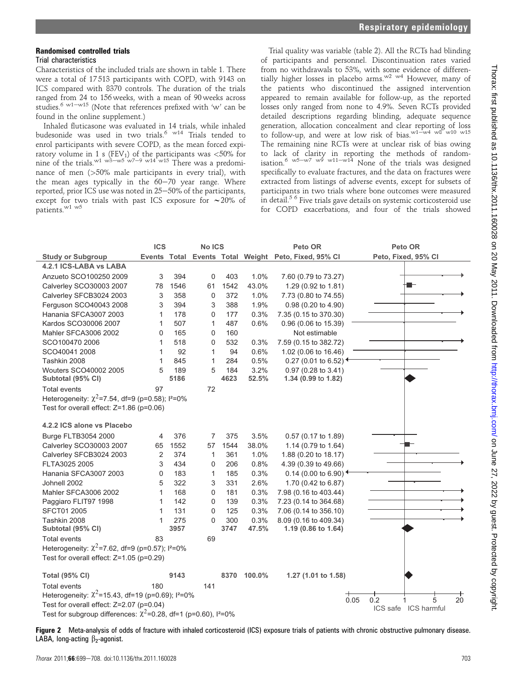#### Randomised controlled trials Trial characteristics

Characteristics of the included trials are shown in table 1. There were a total of 17 513 participants with COPD, with 9143 on ICS compared with 8370 controls. The duration of the trials ranged from 24 to 156 weeks, with a mean of 90 weeks across studies.<sup>6 w1-w15</sup> (Note that references prefixed with 'w' can be found in the online supplement.)

Inhaled fluticasone was evaluated in 14 trials, while inhaled budesonide was used in two trials.<sup>6 w14</sup> Trials tended to enrol participants with severe COPD, as the mean forced expiratory volume in 1 s (FEV<sub>1</sub>) of the participants was <50% for<br>nine of the trials.<sup>w1 w3—w5 w7—9 w14 w15 There was a predomi-</sup> nance of men (>50% male participants in every trial), with the mean ages typically in the  $60-70$  year range. Where reported, prior ICS use was noted in  $25-50%$  of the participants, except for two trials with past ICS exposure for  $\sim$ 20% of patients.w1 w5

Trial quality was variable (table 2). All the RCTs had blinding of participants and personnel. Discontinuation rates varied from no withdrawals to 53%, with some evidence of differentially higher losses in placebo arms.<sup>w2 w4</sup> However, many of the patients who discontinued the assigned intervention appeared to remain available for follow-up, as the reported losses only ranged from none to 4.9%. Seven RCTs provided detailed descriptions regarding blinding, adequate sequence generation, allocation concealment and clear reporting of loss to follow-up, and were at low risk of bias. $w1-w4$  w<sup>8</sup> The remaining nine RCTs were at unclear risk of bias owing to lack of clarity in reporting the methods of random-<br>isation.<sup>6</sup> w<sup>5-w7 w9</sup> w<sup>11-w14</sup> None of the trials was designed specifically to evaluate fractures, and the data on fractures were extracted from listings of adverse events, except for subsets of participants in two trials where bone outcomes were measured in detail.<sup>5 6</sup> Five trials gave details on systemic corticosteroid use for COPD exacerbations, and four of the trials showed

|                                                                                  | <b>ICS</b>   |      | No ICS         |      |        | Peto OR                                 | Peto OR                            |
|----------------------------------------------------------------------------------|--------------|------|----------------|------|--------|-----------------------------------------|------------------------------------|
| <b>Study or Subgroup</b>                                                         | Events Total |      |                |      |        | Events Total Weight Peto, Fixed, 95% CI | Peto, Fixed, 95% CI                |
| 4.2.1 ICS-LABA vs LABA                                                           |              |      |                |      |        |                                         |                                    |
| Anzueto SCO100250 2009                                                           | 3            | 394  | $\mathbf 0$    | 403  | 1.0%   | 7.60 (0.79 to 73.27)                    |                                    |
| Calverley SCO30003 2007                                                          | 78           | 1546 | 61             | 1542 | 43.0%  | 1.29 (0.92 to 1.81)                     | ⊢                                  |
| Calverley SFCB3024 2003                                                          | 3            | 358  | 0              | 372  | 1.0%   | 7.73 (0.80 to 74.55)                    |                                    |
| Ferguson SCO40043 2008                                                           | 3            | 394  | 3              | 388  | 1.9%   | 0.98 (0.20 to 4.90)                     |                                    |
| Hanania SFCA3007 2003                                                            | 1            | 178  | 0              | 177  | 0.3%   | 7.35 (0.15 to 370.30)                   |                                    |
| Kardos SCO30006 2007                                                             | 1            | 507  | 1              | 487  | 0.6%   | 0.96 (0.06 to 15.39)                    |                                    |
| Mahler SFCA3006 2002                                                             | 0            | 165  | 0              | 160  |        | Not estimable                           |                                    |
| SCO100470 2006                                                                   | 1            | 518  | 0              | 532  | 0.3%   | 7.59 (0.15 to 382.72)                   |                                    |
| SCO40041 2008                                                                    | 1            | 92   | 1              | 94   | 0.6%   | 1.02 (0.06 to 16.46)                    |                                    |
| Tashkin 2008                                                                     | 1            | 845  | 1              | 284  | 0.5%   | 0.27 (0.01 to 6.52) $\triangleleft$     |                                    |
| Wouters SCO40002 2005                                                            | 5            | 189  | 5              | 184  | 3.2%   | 0.97 (0.28 to 3.41)                     |                                    |
| Subtotal (95% CI)                                                                |              | 5186 |                | 4623 | 52.5%  | 1.34 (0.99 to 1.82)                     |                                    |
| <b>Total events</b>                                                              | 97           |      | 72             |      |        |                                         |                                    |
| Heterogeneity: $\chi^2$ =7.54, df=9 (p=0.58); l <sup>2</sup> =0%                 |              |      |                |      |        |                                         |                                    |
| Test for overall effect: $Z=1.86$ (p=0.06)                                       |              |      |                |      |        |                                         |                                    |
|                                                                                  |              |      |                |      |        |                                         |                                    |
| 4.2.2 ICS alone vs Placebo                                                       |              |      |                |      |        |                                         |                                    |
| Burge FLTB3054 2000                                                              | 4            | 376  | 7              | 375  | 3.5%   | 0.57 (0.17 to 1.89)                     |                                    |
| Calverley SCO30003 2007                                                          | 65           | 1552 | 57             | 1544 | 38.0%  | 1.14 (0.79 to 1.64)                     |                                    |
| Calverley SFCB3024 2003                                                          | 2            | 374  | $\mathbf{1}$   | 361  | 1.0%   | 1.88 (0.20 to 18.17)                    |                                    |
| FLTA3025 2005                                                                    | 3            | 434  | 0              | 206  | 0.8%   | 4.39 (0.39 to 49.66)                    |                                    |
| Hanania SFCA3007 2003                                                            | 0            | 183  | 1              | 185  | 0.3%   | 0.14 (0.00 to 6.90) $\triangleleft$     |                                    |
| Johnell 2002                                                                     | 5            | 322  | 3              | 331  | 2.6%   | 1.70 (0.42 to 6.87)                     |                                    |
| Mahler SFCA3006 2002                                                             | 1            | 168  | 0              | 181  | 0.3%   | 7.98 (0.16 to 403.44)                   |                                    |
| Paggiaro FLIT97 1998                                                             | 1            | 142  | 0              | 139  | 0.3%   | 7.23 (0.14 to 364.68)                   |                                    |
| <b>SFCT01 2005</b>                                                               | 1            | 131  | 0              | 125  | 0.3%   | 7.06 (0.14 to 356.10)                   |                                    |
| Tashkin 2008                                                                     | 1            | 275  | $\overline{0}$ | 300  | 0.3%   | 8.09 (0.16 to 409.34)                   |                                    |
| Subtotal (95% CI)                                                                |              | 3957 |                | 3747 | 47.5%  | 1.19 (0.86 to 1.64)                     |                                    |
| <b>Total events</b>                                                              | 83           |      | 69             |      |        |                                         |                                    |
| Heterogeneity: $\chi^2$ =7.62, df=9 (p=0.57); l <sup>2</sup> =0%                 |              |      |                |      |        |                                         |                                    |
| Test for overall effect: Z=1.05 (p=0.29)                                         |              |      |                |      |        |                                         |                                    |
|                                                                                  |              |      |                |      |        |                                         |                                    |
| <b>Total (95% CI)</b>                                                            |              | 9143 |                | 8370 | 100.0% | 1.27 (1.01 to 1.58)                     |                                    |
| <b>Total events</b>                                                              | 180          |      | 141            |      |        |                                         |                                    |
| Heterogeneity: $\chi^2$ =15.43, df=19 (p=0.69); $1^2$ =0%                        |              |      |                |      |        |                                         | $\frac{1}{20}$<br>0.05<br>0.2<br>5 |
| Test for overall effect: Z=2.07 (p=0.04)                                         |              |      |                |      |        |                                         | ICS safe ICS harmful               |
| Test for subgroup differences: $\chi^2$ =0.28, df=1 (p=0.60), l <sup>2</sup> =0% |              |      |                |      |        |                                         |                                    |

Figure 2 Meta-analysis of odds of fracture with inhaled corticosteroid (ICS) exposure trials of patients with chronic obstructive pulmonary disease. LABA, long-acting  $\beta_2$ -agonist.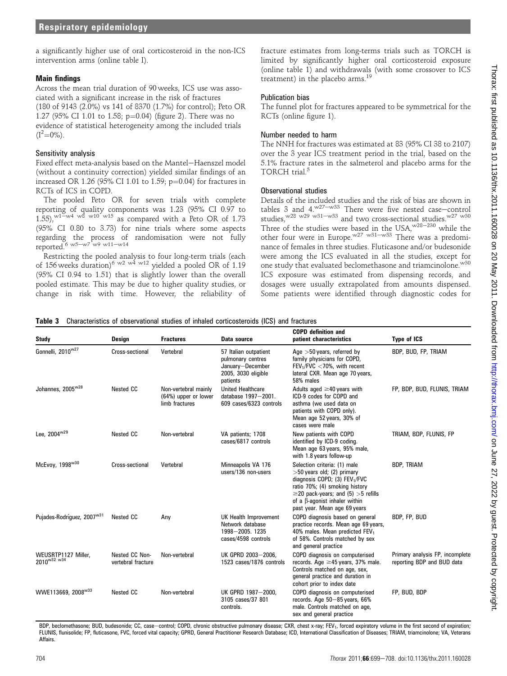a significantly higher use of oral corticosteroid in the non-ICS intervention arms (online table I).

#### Main findings

Across the mean trial duration of 90 weeks, ICS use was associated with a significant increase in the risk of fractures (180 of 9143 (2.0%) vs 141 of 8370 (1.7%) for control); Peto OR 1.27 (95% CI 1.01 to 1.58;  $p=0.04$ ) (figure 2). There was no evidence of statistical heterogeneity among the included trials  $(I^2=0\%)$ .

#### Sensitivity analysis

Fixed effect meta-analysis based on the Mantel-Haenszel model (without a continuity correction) yielded similar findings of an increased OR 1.26 (95% CI 1.01 to 1.59;  $p=0.04$ ) for fractures in RCTs of ICS in COPD.

The pooled Peto OR for seven trials with complete reporting of quality components was 1.23 (95% CI 0.97 to  $1.55$ ), w<sup>1-</sup> w<sup>4</sup> w<sup>8</sup> w<sup>10'</sup> w<sup>15</sup> as compared with a Peto OR of 1.73 (95% CI 0.80 to 3.73) for nine trials where some aspects regarding the process of randomisation were not fully<br>reported.<sup>6 w5—w7 w9 w11—w14</sup>

Restricting the pooled analysis to four long-term trials (each of 156 weeks duration)<sup>6 w2 w4 w12</sup> yielded a pooled OR of 1.19 (95% CI 0.94 to 1.51) that is slightly lower than the overall pooled estimate. This may be due to higher quality studies, or change in risk with time. However, the reliability of

fracture estimates from long-terms trials such as TORCH is limited by significantly higher oral corticosteroid exposure (online table 1) and withdrawals (with some crossover to ICS treatment) in the placebo arms.<sup>19</sup>

#### Publication bias

The funnel plot for fractures appeared to be symmetrical for the RCTs (online figure 1).

#### Number needed to harm

The NNH for fractures was estimated at 83 (95% CI 38 to 2107) over the 3 year ICS treatment period in the trial, based on the 5.1% fracture rates in the salmeterol and placebo arms for the TORCH trial.<sup>5</sup>

#### Observational studies

Details of the included studies and the risk of bias are shown in tables 3 and  $4.^{w27-w33}$  There were five nested case-control studies,  $w^{28}$  w<sup>29</sup> w<sup>31-w33</sup> and two cross-sectional studies.  $w^{27}$  w<sup>30</sup> Three of the studies were based in the USA, $w^{28-230}$  while the other four were in Europe. $w^{27}$   $w^{31-w33}$  There was a predominance of females in three studies. Fluticasone and/or budesonide were among the ICS evaluated in all the studies, except for one study that evaluated beclomethasone and triamcinolone.<sup>w30</sup> ICS exposure was estimated from dispensing records, and dosages were usually extrapolated from amounts dispensed. Some patients were identified through diagnostic codes for

#### Table 3 Characteristics of observational studies of inhaled corticosteroids (ICS) and fractures

| <b>Study</b>                                   | Design                               | <b>Fractures</b>                                               | Data source                                                                                       | <b>COPD</b> definition and<br>patient characteristics                                                                                                                                                                                                 | <b>Type of ICS</b>                                            |
|------------------------------------------------|--------------------------------------|----------------------------------------------------------------|---------------------------------------------------------------------------------------------------|-------------------------------------------------------------------------------------------------------------------------------------------------------------------------------------------------------------------------------------------------------|---------------------------------------------------------------|
| Gonnelli, 2010 <sup>w27</sup>                  | Cross-sectional                      | Vertebral                                                      | 57 Italian outpatient<br>pulmonary centres<br>January-December<br>2005, 3030 eligible<br>patients | Age $>50$ years, referred by<br>family physicians for COPD,<br>$FEV1/FVC < 70%$ , with recent<br>lateral CXR. Mean age 70 years,<br>58% males                                                                                                         | BDP, BUD, FP, TRIAM                                           |
| Johannes, 2005 <sup>w28</sup>                  | Nested CC                            | Non-vertebral mainly<br>(64%) upper or lower<br>limb fractures | <b>United Healthcare</b><br>database 1997-2001.<br>609 cases/6323 controls                        | Adults aged $\geq$ 40 years with<br>ICD-9 codes for COPD and<br>asthma (we used data on<br>patients with COPD only).<br>Mean age 52 years, 30% of<br>cases were male                                                                                  | FP, BDP, BUD, FLUNIS, TRIAM                                   |
| Lee, $2004^{\text{w29}}$                       | Nested CC                            | Non-vertebral                                                  | VA patients; 1708<br>cases/6817 controls                                                          | New patients with COPD<br>identified by ICD-9 coding.<br>Mean age 63 years, 95% male,<br>with 1.8 years follow-up                                                                                                                                     | TRIAM, BDP, FLUNIS, FP                                        |
| McEvoy, 1998 <sup>w30</sup>                    | Cross-sectional                      | Vertebral                                                      | Minneapolis VA 176<br>users/136 non-users                                                         | Selection criteria: (1) male<br>$>50$ years old; (2) primary<br>diagnosis COPD; (3) FEV1/FVC<br>ratio 70%; (4) smoking history<br>$\geq$ 20 pack-years; and (5) $>$ 5 refills<br>of a $\beta$ -agonist inhaler within<br>past year. Mean age 69 years | <b>BDP, TRIAM</b>                                             |
| Pujades-Rodríguez, 2007 <sup>w31</sup>         | Nested CC                            | Any                                                            | UK Health Improvement<br>Network database<br>1998-2005. 1235<br>cases/4598 controls               | COPD diagnosis based on general<br>practice records. Mean age 69 years,<br>40% males. Mean predicted FEV <sub>1</sub><br>of 58%. Controls matched by sex<br>and general practice                                                                      | BDP, FP, BUD                                                  |
| WEUSRTP1127 Miller.<br>2010 <sup>w32</sup> w34 | Nested CC Non-<br>vertebral fracture | Non-vertebral                                                  | UK GPRD 2003-2006.<br>1523 cases/1876 controls                                                    | COPD diagnosis on computerised<br>records. Age $\geq$ 45 years, 37% male.<br>Controls matched on age, sex,<br>general practice and duration in<br>cohort prior to index date                                                                          | Primary analysis FP, incomplete<br>reporting BDP and BUD data |
| WWE113669, 2008 <sup>w33</sup>                 | Nested CC                            | Non-vertebral                                                  | UK GPRD 1987-2000,<br>3105 cases/37 801<br>controls.                                              | COPD diagnosis on computerised<br>records. Age 50-85 years, 66%<br>male. Controls matched on age,<br>sex and general practice                                                                                                                         | FP, BUD, BDP                                                  |

BDP, beclomethasone; BUD, budesonide; CC, case-control; COPD, chronic obstructive pulmonary disease; CXR, chest x-ray; FEV<sub>1</sub>, forced expiratory volume in the first second of expiration; FLUNIS, flunisolide; FP, fluticasone, FVC, forced vital capacity; GPRD, General Practitioner Research Database; ICD, International Classification of Diseases; TRIAM, triamcinolone; VA, Veterans **Affairs**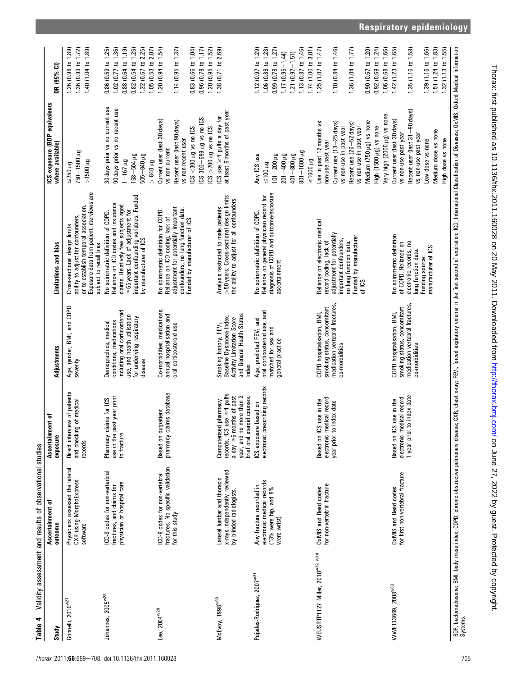| Study                                                                                               | Ascertainment of<br>outcome                                                                    | tot<br>Ascertainmen<br>exposure                                                                                                                                                       | Adjustments                                                                                                                                               | <b>Limitations</b> and bias                                                                                                                                                                                                 | ICS exposure (BDP equivalents<br>where available)                                                                                                                                                                                              | OR (95% CI)                                                                                                                                                     |
|-----------------------------------------------------------------------------------------------------|------------------------------------------------------------------------------------------------|---------------------------------------------------------------------------------------------------------------------------------------------------------------------------------------|-----------------------------------------------------------------------------------------------------------------------------------------------------------|-----------------------------------------------------------------------------------------------------------------------------------------------------------------------------------------------------------------------------|------------------------------------------------------------------------------------------------------------------------------------------------------------------------------------------------------------------------------------------------|-----------------------------------------------------------------------------------------------------------------------------------------------------------------|
| Gonnelli, 2010 <sup>w27</sup>                                                                       | Physicians assessed the lateral<br>CXR using MorphoExpress<br>software                         | of patients<br>and checking of medical<br>Direct interview<br>records                                                                                                                 | Age, gender, BMI, and COPD<br>severity                                                                                                                    | Exposure data from patient interviews are<br>or to establish temporal association.<br>ability to adjust for confounders<br>Cross-sectional design limits<br>subject to recall bias                                          | 250-1500 µg<br>$5th$ 00 $\frac{1}{2}$ /<br>$\leq$ 750 $\mu$ g                                                                                                                                                                                  | 1.36 $(0.93$ to 1.72)<br>1.40 (1.04 to 1.89)<br>1.26 (0.98 to 1.89)                                                                                             |
| Johannes, 2005 <sup>w28</sup>                                                                       | ICD-9 codes for non-verterbral<br>fractures, and claims for<br>physician or hospital care      | use in the past year prior<br>Pharmacy claims for ICS<br>to fracture                                                                                                                  | including oral corticosteroid<br>use, and health utilisation<br>for underlying respiratory<br>conditions, medications<br>Demographics, medical<br>disease | important confounding variables. Funded<br>by manufacturer of ICS<br>Reliance on ICD codes and insurance<br>claims. Relatively few subjects aged<br>≥65 years. Lack of adjustment for<br>No spirometric definition of COPD. | 30 days prior vs no current use<br>90 days prior vs no recent use<br>$168 - 504$ $\mu$ g<br>pu 0b9-605<br>$1 - 167$ $\mu$ g<br>6 <sub>1</sub> 0 <sub>18</sub> <                                                                                | 0.88(0.64 to 1.19)<br>1.05(0.53 to 2.07)<br>1.02 (0.77 to 1.36)<br>$0.82$ (0.54 to 1.26)<br>1.22 (0.67 to 2.25)<br>$0.86$ (0.59 to 1.25)                        |
| Lee, 2004 <sup>w29</sup>                                                                            | fractures. No specific validation<br>ICD-9 codes for non-vertebral<br>for this study           | pharmacy claims database<br>Based on outpatient                                                                                                                                       | Co-morbidities, medications,<br>annual hospitalisation and<br>oral corticosteroid use                                                                     | adjustment for potentially important<br>confounders, no lung function data.<br>No spirometric definition for COPD.<br>Reliance on ICD coding, lack of<br>Funded by manufacturer of ICS                                      | S21 ou so bit 669-008 S21<br>Current user (last 30 days)<br>Recent user (last 90 days)<br>$521$ ou sv $6n/601 < 521$<br>$10S < 300 \mu g$ vs no ICS<br>vs non-recent user<br>vs non current                                                    | 1.14(0.95 to 1.37)<br>$0.96$ (0.78 to 1.17)<br>1.20 (0.95 to 1.52)<br>1.20(0.94 to 1.54)<br>0.83(0.66 to 1.04)                                                  |
| McEvoy, 1998 <sup>w30</sup>                                                                         | x-rays independently reviewed<br>Lateral lumbar and thoracic<br>by blinded radiologists.       | $\text{records}, \text{ ICS use} \geq 4 \text{ pdfs}$<br>a day $\geq 6 \text{ months of past}$<br>year, and no more than 2<br>brief oral steroid courses.<br>pharmacy<br>Computerised | and General Health Status<br>Baseline Dyspnoea Index,<br>Activity Limitation Score<br>Smoking history, FEV <sub>1</sub> ,<br>Index                        | >50 years. Cross-sectional design limits<br>the ability to adjust for all confounders<br>Analysis restricted to male patients                                                                                               | at least 6 months of past year<br>$CSS$ use $\geq 4$ puffs a day for                                                                                                                                                                           | 1.38 (0.71 to 2.69)                                                                                                                                             |
| Pujades-Rodríguez, 2007 <sup>w31</sup>                                                              | electronic medical records<br>Any fracture recorded in<br>(13% were hip, and 9%<br>were wrist) | electronic prescribing records<br>ICS exposure based on                                                                                                                               | oral corticosteroid use, and<br>Age, predicted FEV <sub>1</sub> and<br>matched for sex and<br>general practice                                            | Reliance on general physician record for<br>diagnosis of COPD and outcome/exposure<br>No spirometric definition of COPD.<br>ascertainment                                                                                   | $801 - 1600 \mu g$<br>$101 - 200 \mu$ g<br>$201 - 400 \,\mu$ g<br>pri 008-10t<br>Any ICS use<br>$= 1600 \mu g$<br>$5th$ 00 $=$                                                                                                                 | $0.99$ (0.78 to 1.27)<br>1.74 (1.00 to 3.01)<br>1.12(0.97 to 1.29)<br>1.06 (0.88 to 1.28)<br>1.13 (0.87 to 1.46)<br>$1.17(0.95 - 1.44)$<br>$1.21(0.97 - 1.51)$  |
| WEUSRTP1127 Miller, 2010 <sup>w32 w34</sup>                                                         | for non-vertebral fracture<br><b>OxMIS</b> and Read codes                                      | electronic medical record<br>use in the<br>year prior to index date<br>Based on ICS                                                                                                   | medication vertebral fractures,<br>smoking status, concomitant<br>COPD hospitalisation, BMI,<br>co-morbidities                                            | Reliance on electronic medical<br>adjustment for potentially<br>Funded by manufacturer<br>important confounders,<br>record coding, lack of<br>no lung function data<br>of ICS                                               | Very high (2000 µg) vs none<br>Medium (750 µg) vs none<br>Current use (13-25 days)<br>Use in past 12 months vs<br>Recent use (26-52 days)<br>High (1500 µg) vs none<br>vs non-use in past year<br>vs non-use in past year<br>non-use past year | 1.25(1.07 to 1.47)<br>1.36 $(1.04 \text{ to } 1.77)$<br>1.06 (0.68 to 1.66)<br>1.10 $(0.84 \text{ to } 1.46)$<br>$0.90$ (0.67 to 1.20)<br>$0.92$ (0.69 to 1.24) |
| VVVVE113669, 2008 <sup>w33</sup>                                                                    | for first non-vertebral fracture<br><b>OxMIS</b> and Read codes                                | index date<br>ical record<br>use in the<br>electronic med<br>1 year prior to<br>Based on ICS                                                                                          | medication vertebral fractures<br>smoking status, concomitant<br>COPD hospitalisation, BMI,<br>co-morbidities                                             | No spirometric definition<br>Su<br>of COPD. Reliance on<br>manufacturer of ICS<br>electronic records,<br>lung function data.<br>Funding source:                                                                             | Recent user (last 31-90 days)<br>Current user (last 30 days)<br>Medium dose vs none<br>vs non-use past year<br>vs non-use past yea<br>High dose vs none<br>Low dose vs none                                                                    | $1.32$ (1.13 to 1.55)<br>1.42 (1.23 to 1.65)<br>1.39 (1.16 to 1.66)<br>1.51 (1.24 to $1.83$ )<br>1.35 (1.16 to 1.58)                                            |
| BDP, beclomethasone; BMI, body mass index; COPD, chronic obstructive pulmonary disease;<br>Systems. |                                                                                                |                                                                                                                                                                                       |                                                                                                                                                           | CXR, chest x-ray; FEV <sub>1</sub> , forced expiratory volume in the first second of expiration; ICD, International Classification of Diseases; OxMIS, Oxford Medical Information                                           |                                                                                                                                                                                                                                                |                                                                                                                                                                 |

Thorax: first published as 10.1136/thx.2011.160028 on 20 May 2011. Downloaded from http://thorax.bmj.com/ on June 27, 2022 by guest. Protected by copyright. on June 27, 2022 by guest. Protected by copyright. <http://thorax.bmj.com/> Thorax: first published as 10.1136/thx.2011.160028 on 20 May 2011. Downloaded from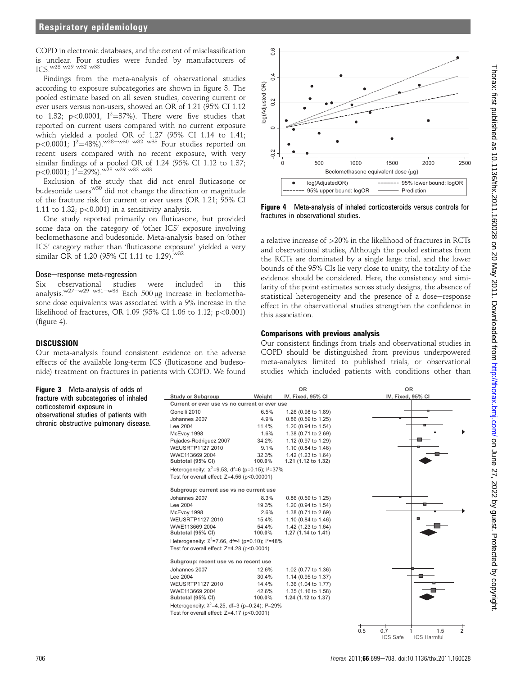COPD in electronic databases, and the extent of misclassification is unclear. Four studies were funded by manufacturers of ICS w<sub>28</sub> w<sub>29</sub> w<sub>32</sub> w<sub>33</sub>

Findings from the meta-analysis of observational studies according to exposure subcategories are shown in figure 3. The pooled estimate based on all seven studies, covering current or ever users versus non-users, showed an OR of 1.21 (95% CI 1.12 to 1.32; p<0.0001,  $I^2$ =37%). There were five studies that reported on current users compared with no current exposure which yielded a pooled OR of 1.27 (95% CI 1.14 to 1.41; p<0.0001;  $I^2=48\%$ . w<sup>28-w30</sup> w<sup>32 w33</sup> Four studies reported on recent users compared with no recent exposure, with very similar findings of a pooled OR of 1.24 (95% CI 1.12 to 1.37;  $p<0.0001; I<sup>2</sup>=29\%$ ).<sup>w28 w29 w32 w33</sup>

Exclusion of the study that did not enrol fluticasone or budesonide users<sup>w30</sup> did not change the direction or magnitude of the fracture risk for current or ever users (OR 1.21; 95% CI 1.11 to 1.32;  $p<0.001$ ) in a sensitivity analysis.

One study reported primarily on fluticasone, but provided some data on the category of 'other ICS' exposure involving beclomethasone and budesonide. Meta-analysis based on 'other ICS' category rather than 'fluticasone exposure' yielded a very similar OR of 1.20 (95% CI 1.11 to 1.29).<sup>w32</sup>

#### Dose-response meta-regression

Six observational studies were included in this<br>analysis.<sup>w27—w29 w31—w33</sup> Each 500 µg increase in beclomethasone dose equivalents was associated with a 9% increase in the likelihood of fractures, OR 1.09 (95% CI 1.06 to 1.12; p<0.001) (figure 4).

#### **DISCUSSION**

Our meta-analysis found consistent evidence on the adverse effects of the available long-term ICS (fluticasone and budesonide) treatment on fractures in patients with COPD. We found

#### Figure 3 Meta-analysis of odds of

fracture with subcategories of inhaled corticosteroid exposure in observational studies of patients with chronic obstructive pulmonary disease.



Figure 4 Meta-analysis of inhaled corticosteroids versus controls for fractures in observational studies.

a relative increase of  $>$  20% in the likelihood of fractures in RCTs and observational studies, Although the pooled estimates from the RCTs are dominated by a single large trial, and the lower bounds of the 95% CIs lie very close to unity, the totality of the evidence should be considered. Here, the consistency and similarity of the point estimates across study designs, the absence of statistical heterogeneity and the presence of a dose-response effect in the observational studies strengthen the confidence in this association.

#### Comparisons with previous analysis

Our consistent findings from trials and observational studies in COPD should be distinguished from previous underpowered meta-analyses limited to published trials, or observational

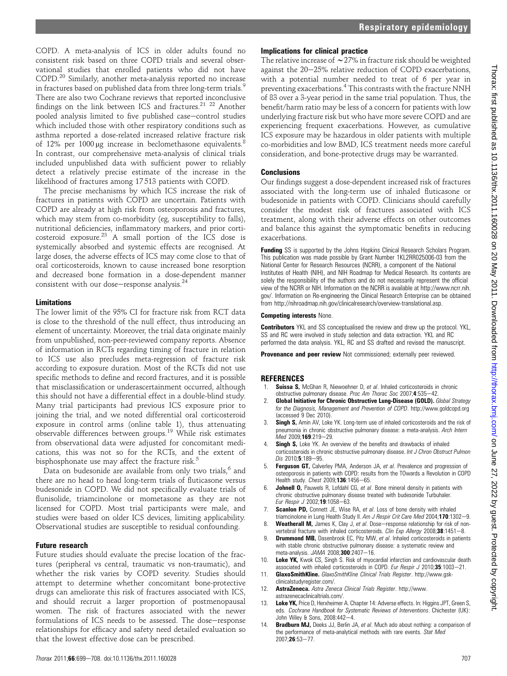COPD. A meta-analysis of ICS in older adults found no consistent risk based on three COPD trials and several observational studies that enrolled patients who did not have COPD.<sup>20</sup> Similarly, another meta-analysis reported no increase in fractures based on published data from three long-term trials.<sup>9</sup> There are also two Cochrane reviews that reported inconclusive findings on the link between ICS and fractures.<sup>21</sup> <sup>22</sup> Another pooled analysis limited to five published case-control studies which included those with other respiratory conditions such as asthma reported a dose-related increased relative fracture risk of 12% per 1000  $\mu$ g increase in beclomethasone equivalents.<sup>8</sup> In contrast, our comprehensive meta-analysis of clinical trials included unpublished data with sufficient power to reliably detect a relatively precise estimate of the increase in the likelihood of fractures among 17 513 patients with COPD.

The precise mechanisms by which ICS increase the risk of fractures in patients with COPD are uncertain. Patients with COPD are already at high risk from osteoporosis and fractures, which may stem from co-morbidity (eg, susceptibility to falls), nutritional deficiencies, inflammatory markers, and prior corticosteroid exposure.<sup>23</sup> A small portion of the ICS dose is systemically absorbed and systemic effects are recognised. At large doses, the adverse effects of ICS may come close to that of oral corticosteroids, known to cause increased bone resorption and decreased bone formation in a dose-dependent manner consistent with our dose-response analysis. $^{24}$ 

#### Limitations

The lower limit of the 95% CI for fracture risk from RCT data is close to the threshold of the null effect, thus introducing an element of uncertainty. Moreover, the trial data originate mainly from unpublished, non-peer-reviewed company reports. Absence of information in RCTs regarding timing of fracture in relation to ICS use also precludes meta-regression of fracture risk according to exposure duration. Most of the RCTs did not use specific methods to define and record fractures, and it is possible that misclassification or underascertainment occurred, although this should not have a differential effect in a double-blind study. Many trial participants had previous ICS exposure prior to joining the trial, and we noted differential oral corticosteroid exposure in control arms (online table 1), thus attenuating observable differences between groups.<sup>19</sup> While risk estimates from observational data were adjusted for concomitant medications, this was not so for the RCTs, and the extent of bisphosphonate use may affect the fracture risk.<sup>5</sup>

Data on budesonide are available from only two trials, $^6$  and there are no head to head long-term trials of fluticasone versus budesonide in COPD. We did not specifically evaluate trials of flunisolide, triamcinolone or mometasone as they are not licensed for COPD. Most trial participants were male, and studies were based on older ICS devices, limiting applicability. Observational studies are susceptible to residual confounding.

#### Future research

Future studies should evaluate the precise location of the fractures (peripheral vs central, traumatic vs non-traumatic), and whether the risk varies by COPD severity. Studies should attempt to determine whether concomitant bone-protective drugs can ameliorate this risk of fractures associated with ICS, and should recruit a larger proportion of postmenopausal women. The risk of fractures associated with the newer formulations of ICS needs to be assessed. The dose-response relationships for efficacy and safety need detailed evaluation so that the lowest effective dose can be prescribed.

#### Implications for clinical practice

The relative increase of  $\sim$  27% in fracture risk should be weighted against the  $20-25%$  relative reduction of COPD exacerbations. with a potential number needed to treat of 6 per year in preventing exacerbations.4 This contrasts with the fracture NNH of 83 over a 3-year period in the same trial population. Thus, the benefit/harm ratio may be less of a concern for patients with low underlying fracture risk but who have more severe COPD and are experiencing frequent exacerbations. However, as cumulative ICS exposure may be hazardous in older patients with multiple co-morbidities and low BMD, ICS treatment needs more careful consideration, and bone-protective drugs may be warranted.

#### Conclusions

Our findings suggest a dose-dependent increased risk of fractures associated with the long-term use of inhaled fluticasone or budesonide in patients with COPD. Clinicians should carefully consider the modest risk of fractures associated with ICS treatment, along with their adverse effects on other outcomes and balance this against the symptomatic benefits in reducing exacerbations.

Funding SS is supported by the Johns Hopkins Clinical Research Scholars Program. This publication was made possible by Grant Number 1KL2RR025006-03 from the National Center for Research Resources (NCRR), a component of the National Institutes of Health (NIH), and NIH Roadmap for Medical Research. Its contents are solely the responsibility of the authors and do not necessarily represent the official view of the NCRR or NIH. Information on the NCRR is available at http://www.ncrr.nih. gov/. Information on Re-engineering the Clinical Research Enterprise can be obtained from http://nihroadmap.nih.gov/clinicalresearch/overview-translational.asp.

#### Competing interests None.

**Contributors** YKL and SS conceptualised the review and drew up the protocol. YKL, SS and RC were involved in study selection and data extraction. YKL and RC performed the data analysis. YKL, RC and SS drafted and revised the manuscript.

Provenance and peer review Not commissioned; externally peer reviewed.

#### **REFERENCES**

- Suissa S, McGhan R, Niewoehner D, et al. Inhaled corticosteroids in chronic obstructive pulmonary disease. Proc Am Thorac Soc 2007;4:535-42.
- Global Initiative for Chronic Obstructive Lung-Disease (GOLD). Global Strategy for the Diagnosis, Management and Prevention of COPD. http://www.goldcopd.org (accessed 9 Dec 2010).
- Singh S, Amin AV, Loke YK. Long-term use of inhaled corticosteroids and the risk of pneumonia in chronic obstructive pulmonary disease: a meta-analysis. Arch Intern Med 2009;169:219-29.
- 4. **Singh S,** Loke YK. An overview of the benefits and drawbacks of inhaled corticosteroids in chronic obstructive pulmonary disease. Int J Chron Obstruct Pulmon  $Dis$  2010: $5:189-95$ .
- Ferguson GT, Calverley PMA, Anderson JA, et al. Prevalence and progression of osteoporosis in patients with COPD: results from the TOwards a Revolution in COPD Health study. Chest 2009;136:1456-65.
- 6. **Johnell O,** Pauwels R, Lofdahl CG, et al. Bone mineral density in patients with chronic obstructive pulmonary disease treated with budesonide Turbuhaler. Eur Respir J 2002;19:1058-63.
- 7. Scanlon PD, Connett JE, Wise RA, et al. Loss of bone density with inhaled triamcinolone in Lung Health Study II. Am J Respir Crit Care Med 2004;170:1302-9.
- 8. Weatherall M, James K, Clay J, et al. Dose-response relationship for risk of nonvertebral fracture with inhaled corticosteroids. Clin Exp Allergy 2008;38:1451-8.
- Drummond MB, Dasenbrook EC, Pitz MW, et al. Inhaled corticosteroids in patients with stable chronic obstructive pulmonary disease: a systematic review and meta-analysis. JAMA 2008;300:2407-16.
- 10. Loke YK, Kwok CS, Singh S. Risk of myocardial infarction and cardiovascular death associated with inhaled corticosteroids in COPD. Eur Respir J 2010;35:1003-21.
- 11. GlaxoSmithKline. GlaxoSmithKline Clinical Trials Register. http://www.gskclinicalstudyregister.com/.
- 12. **AstraZeneca.** Astra Zeneca Clinical Trials Register. http://www. astrazenecaclinicaltrials.com/.
- 13. Loke YK, Price D, Herxheimer A. Chapter 14: Adverse effects. In: Higgins JPT, Green S, eds. Cochrane Handbook for Systematic Reviews of Interventions. Chichester (UK): John Wiley & Sons, 2008:442-4.
- 14. **Bradburn MJ,** Deeks JJ, Berlin JA, et al. Much ado about nothing: a comparison of the performance of meta-analytical methods with rare events. Stat Med 2007;26:53-77.